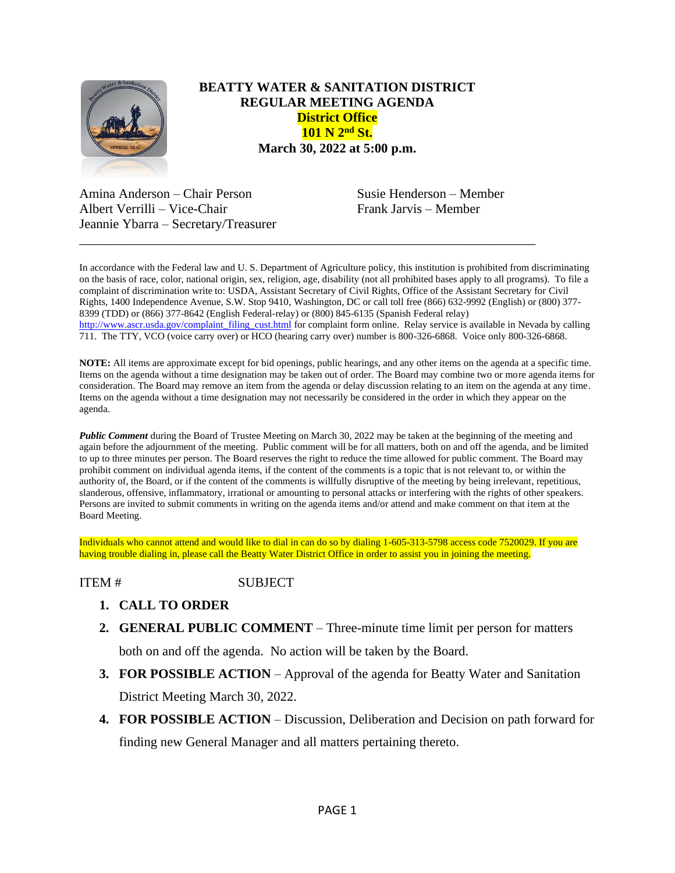

## **BEATTY WATER & SANITATION DISTRICT REGULAR MEETING AGENDA District Office 101 N 2nd St. March 30, 2022 at 5:00 p.m.**

Amina Anderson – Chair Person Susie Henderson – Member Albert Verrilli – Vice-Chair Frank Jarvis – Member Jeannie Ybarra – Secretary/Treasurer

In accordance with the Federal law and U. S. Department of Agriculture policy, this institution is prohibited from discriminating on the basis of race, color, national origin, sex, religion, age, disability (not all prohibited bases apply to all programs). To file a complaint of discrimination write to: USDA, Assistant Secretary of Civil Rights, Office of the Assistant Secretary for Civil Rights, 1400 Independence Avenue, S.W. Stop 9410, Washington, DC or call toll free (866) 632-9992 (English) or (800) 377- 8399 (TDD) or (866) 377-8642 (English Federal-relay) or (800) 845-6135 (Spanish Federal relay) [http://www.ascr.usda.gov/complaint\\_filing\\_cust.html](http://www.ascr.usda.gov/complaint_filing_cust.html) for complaint form online. Relay service is available in Nevada by calling 711. The TTY, VCO (voice carry over) or HCO (hearing carry over) number is 800-326-6868. Voice only 800-326-6868.

\_\_\_\_\_\_\_\_\_\_\_\_\_\_\_\_\_\_\_\_\_\_\_\_\_\_\_\_\_\_\_\_\_\_\_\_\_\_\_\_\_\_\_\_\_\_\_\_\_\_\_\_\_\_\_\_\_\_\_\_\_\_\_\_\_\_\_\_\_

**NOTE:** All items are approximate except for bid openings, public hearings, and any other items on the agenda at a specific time. Items on the agenda without a time designation may be taken out of order. The Board may combine two or more agenda items for consideration. The Board may remove an item from the agenda or delay discussion relating to an item on the agenda at any time. Items on the agenda without a time designation may not necessarily be considered in the order in which they appear on the agenda.

*Public Comment* during the Board of Trustee Meeting on March 30, 2022 may be taken at the beginning of the meeting and again before the adjournment of the meeting. Public comment will be for all matters, both on and off the agenda, and be limited to up to three minutes per person. The Board reserves the right to reduce the time allowed for public comment. The Board may prohibit comment on individual agenda items, if the content of the comments is a topic that is not relevant to, or within the authority of, the Board, or if the content of the comments is willfully disruptive of the meeting by being irrelevant, repetitious, slanderous, offensive, inflammatory, irrational or amounting to personal attacks or interfering with the rights of other speakers. Persons are invited to submit comments in writing on the agenda items and/or attend and make comment on that item at the Board Meeting.

Individuals who cannot attend and would like to dial in can do so by dialing 1-605-313-5798 access code 7520029. If you are having trouble dialing in, please call the Beatty Water District Office in order to assist you in joining the meeting.

ITEM # SUBJECT

- **1. CALL TO ORDER**
- **2. GENERAL PUBLIC COMMENT** Three-minute time limit per person for matters

both on and off the agenda. No action will be taken by the Board.

- **3. FOR POSSIBLE ACTION** Approval of the agenda for Beatty Water and Sanitation District Meeting March 30, 2022.
- **4. FOR POSSIBLE ACTION** Discussion, Deliberation and Decision on path forward for finding new General Manager and all matters pertaining thereto.